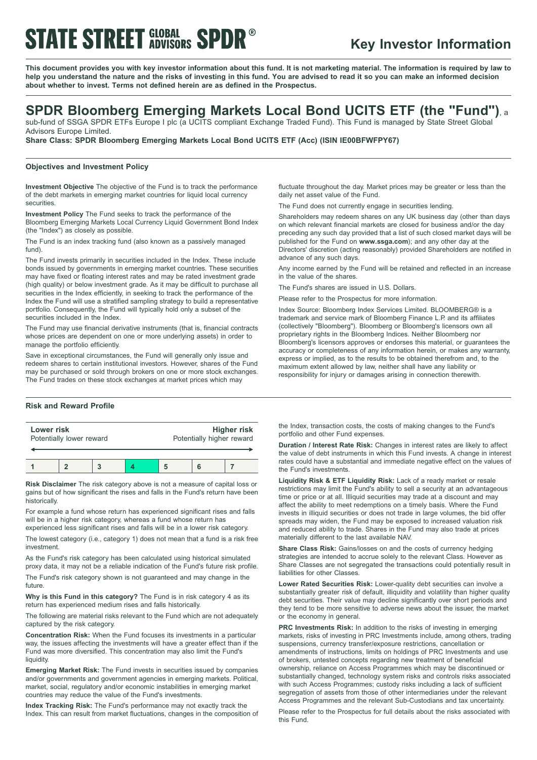# **STATE STREET GLOBAL SPDR<sup>®</sup>**

# **Key Investor Information**

This document provides you with key investor information about this fund. It is not marketing material. The information is required by law to help you understand the nature and the risks of investing in this fund. You are advised to read it so you can make an informed decision **about whether to invest. Terms not defined herein are as defined in the Prospectus.**

# **SPDR Bloomberg Emerging Markets Local Bond UCITS ETF (the "Fund")**, <sup>a</sup>

sub-fund of SSGA SPDR ETFs Europe I plc (a UCITS compliant Exchange Traded Fund). This Fund is managed by State Street Global Advisors Europe Limited.

**Share Class: SPDR Bloomberg Emerging Markets Local Bond UCITS ETF (Acc) (ISIN IE00BFWFPY67)**

### **Objectives and Investment Policy**

**Investment Objective** The objective of the Fund is to track the performance of the debt markets in emerging market countries for liquid local currency securities.

**Investment Policy** The Fund seeks to track the performance of the Bloomberg Emerging Markets Local Currency Liquid Government Bond Index (the "Index") as closely as possible.

The Fund is an index tracking fund (also known as a passively managed fund).

The Fund invests primarily in securities included in the Index. These include bonds issued by governments in emerging market countries. These securities may have fixed or floating interest rates and may be rated investment grade (high quality) or below investment grade. As it may be difficult to purchase all securities in the Index efficiently, in seeking to track the performance of the Index the Fund will use a stratified sampling strategy to build a representative portfolio. Consequently, the Fund will typically hold only a subset of the securities included in the Index.

The Fund may use financial derivative instruments (that is, financial contracts whose prices are dependent on one or more underlying assets) in order to manage the portfolio efficiently.

Save in exceptional circumstances, the Fund will generally only issue and redeem shares to certain institutional investors. However, shares of the Fund may be purchased or sold through brokers on one or more stock exchanges. The Fund trades on these stock exchanges at market prices which may

## **Risk and Reward Profile**

| Lower risk               | Higher risk               |
|--------------------------|---------------------------|
| Potentially lower reward | Potentially higher reward |
|                          |                           |

**1 2 3 4 5 6 7**

**Risk Disclaimer** The risk category above is not a measure of capital loss or gains but of how significant the rises and falls in the Fund's return have been historically.

For example a fund whose return has experienced significant rises and falls will be in a higher risk category, whereas a fund whose return has

experienced less significant rises and falls will be in a lower risk category. The lowest category (i.e., category 1) does not mean that a fund is a risk free investment.

As the Fund's risk category has been calculated using historical simulated proxy data, it may not be a reliable indication of the Fund's future risk profile.

The Fund's risk category shown is not guaranteed and may change in the future.

**Why is this Fund in this category?** The Fund is in risk category 4 as its return has experienced medium rises and falls historically.

The following are material risks relevant to the Fund which are not adequately captured by the risk category.

**Concentration Risk:** When the Fund focuses its investments in a particular way, the issues affecting the investments will have a greater effect than if the Fund was more diversified. This concentration may also limit the Fund's liquidity.

**Emerging Market Risk:** The Fund invests in securities issued by companies and/or governments and government agencies in emerging markets. Political, market, social, regulatory and/or economic instabilities in emerging market countries may reduce the value of the Fund's investments.

**Index Tracking Risk:** The Fund's performance may not exactly track the Index. This can result from market fluctuations, changes in the composition of fluctuate throughout the day. Market prices may be greater or less than the daily net asset value of the Fund.

The Fund does not currently engage in securities lending.

Shareholders may redeem shares on any UK business day (other than days on which relevant financial markets are closed for business and/or the day preceding any such day provided that a list of such closed market days will be published for the Fund on **www.ssga.com**); and any other day at the Directors' discretion (acting reasonably) provided Shareholders are notified in advance of any such days.

Any income earned by the Fund will be retained and reflected in an increase in the value of the shares.

The Fund's shares are issued in U.S. Dollars.

Please refer to the Prospectus for more information.

Index Source: Bloomberg Index Services Limited. BLOOMBERG® is a trademark and service mark of Bloomberg Finance L.P. and its affiliates (collectively "Bloomberg"). Bloomberg or Bloomberg's licensors own all proprietary rights in the Bloomberg Indices. Neither Bloomberg nor Bloomberg's licensors approves or endorses this material, or guarantees the accuracy or completeness of any information herein, or makes any warranty, express or implied, as to the results to be obtained therefrom and, to the maximum extent allowed by law, neither shall have any liability or responsibility for injury or damages arising in connection therewith.

the Index, transaction costs, the costs of making changes to the Fund's portfolio and other Fund expenses.

**Duration / Interest Rate Risk:** Changes in interest rates are likely to affect the value of debt instruments in which this Fund invests. A change in interest rates could have a substantial and immediate negative effect on the values of the Fund's investments.

**Liquidity Risk & ETF Liquidity Risk:** Lack of a ready market or resale restrictions may limit the Fund's ability to sell a security at an advantageous time or price or at all. Illiquid securities may trade at a discount and may affect the ability to meet redemptions on a timely basis. Where the Fund invests in illiquid securities or does not trade in large volumes, the bid offer spreads may widen, the Fund may be exposed to increased valuation risk and reduced ability to trade. Shares in the Fund may also trade at prices materially different to the last available NAV.

**Share Class Risk:** Gains/losses on and the costs of currency hedging strategies are intended to accrue solely to the relevant Class. However as Share Classes are not segregated the transactions could potentially result in liabilities for other Classes.

**Lower Rated Securities Risk:** Lower-quality debt securities can involve a substantially greater risk of default, illiquidity and volatility than higher quality debt securities. Their value may decline significantly over short periods and they tend to be more sensitive to adverse news about the issuer, the market or the economy in general.

**PRC Investments Risk:** In addition to the risks of investing in emerging markets, risks of investing in PRC Investments include, among others, trading suspensions, currency transfer/exposure restrictions, cancellation or amendments of instructions, limits on holdings of PRC Investments and use of brokers, untested concepts regarding new treatment of beneficial ownership, reliance on Access Programmes which may be discontinued or substantially changed, technology system risks and controls risks associated with such Access Programmes; custody risks including a lack of sufficient segregation of assets from those of other intermediaries under the relevant Access Programmes and the relevant Sub-Custodians and tax uncertainty.

Please refer to the Prospectus for full details about the risks associated with this Fund.